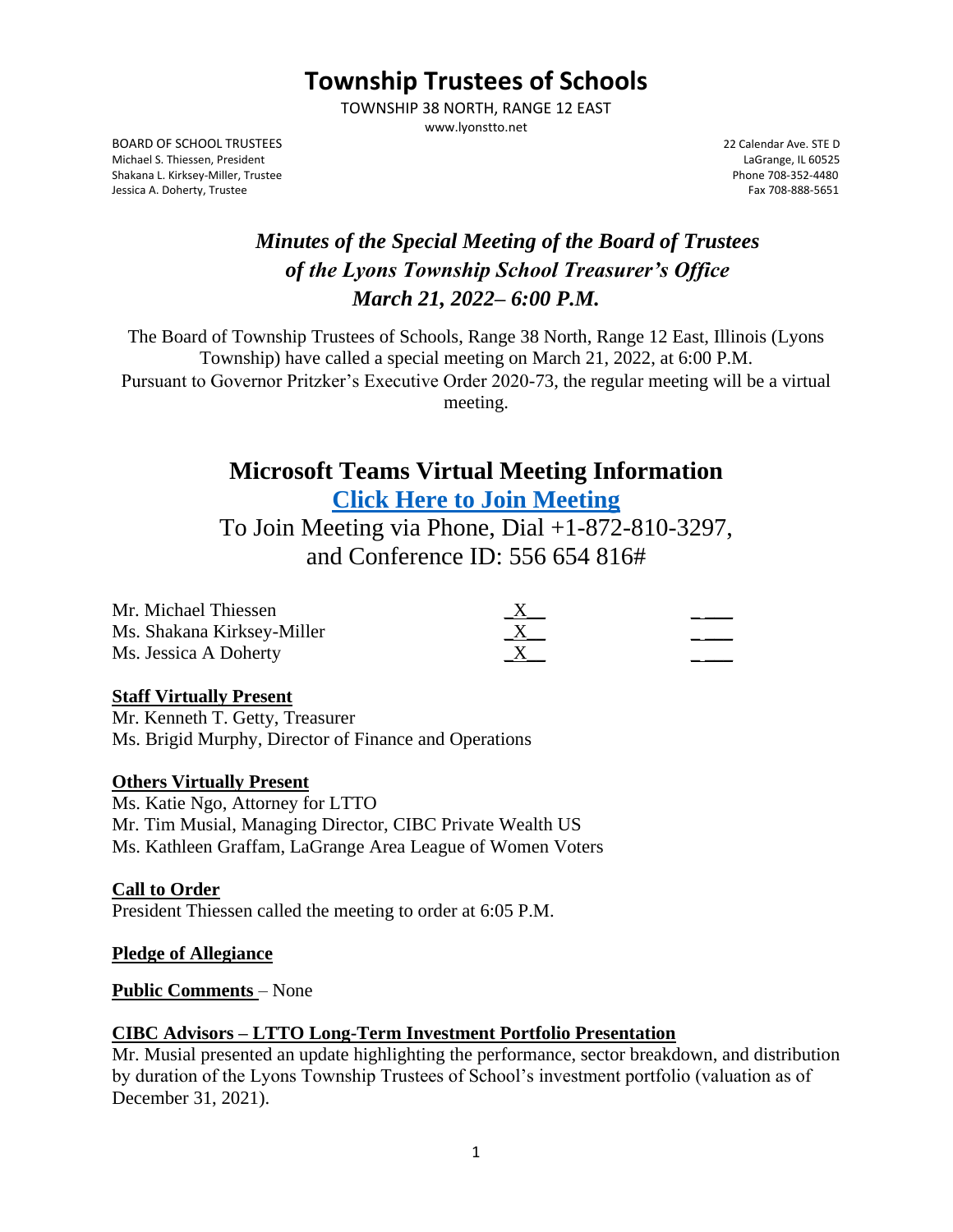# **Township Trustees of Schools**

TOWNSHIP 38 NORTH, RANGE 12 EAST www.lyonstto.net

BOARD OF SCHOOL TRUSTEES 22 Calendar Ave. STE D Michael S. Thiessen, President LaGrange, IL 60525 Shakana L. Kirksey-Miller, Trustee Shakana L. Kirksey-Miller, Trustee Phone 708-352-4480<br>- Fax 708-888-5651 Phone 708-888-5651 Phone 708-888-5651 Phone 708-888-5651 Jessica A. Doherty, Trustee

## *Minutes of the Special Meeting of the Board of Trustees of the Lyons Township School Treasurer's Office March 21, 2022– 6:00 P.M.*

The Board of Township Trustees of Schools, Range 38 North, Range 12 East, Illinois (Lyons Township) have called a special meeting on March 21, 2022, at 6:00 P.M. Pursuant to Governor Pritzker's Executive Order 2020-73, the regular meeting will be a virtual

meeting.

## **Microsoft Teams Virtual Meeting Information [Click Here to Join](https://teams.microsoft.com/l/meetup-join/19%3ameeting_NzhhZThiNDctOWFmNS00ODk4LTgxODYtODI5NDYyYWEzNjg1%40thread.v2/0?context=%7b%22Tid%22%3a%228b67c7f8-d68e-4260-8d60-39b3b12d46a4%22%2c%22Oid%22%3a%220dbf15bf-a57c-4046-8a07-d1843375ea9a%22%7d) Meeting**

To Join Meeting via Phone, Dial +1-872-810-3297, and Conference ID: 556 654 816#

| Mr. Michael Thiessen       |          |  |
|----------------------------|----------|--|
| Ms. Shakana Kirksey-Miller | $\Delta$ |  |
| Ms. Jessica A Doherty      |          |  |

## **Staff Virtually Present**

Mr. Kenneth T. Getty, Treasurer Ms. Brigid Murphy, Director of Finance and Operations

## **Others Virtually Present**

Ms. Katie Ngo, Attorney for LTTO Mr. Tim Musial, Managing Director, CIBC Private Wealth US Ms. Kathleen Graffam, LaGrange Area League of Women Voters

## **Call to Order**

President Thiessen called the meeting to order at 6:05 P.M.

#### **Pledge of Allegiance**

#### **Public Comments** – None

## **CIBC Advisors – LTTO Long-Term Investment Portfolio Presentation**

Mr. Musial presented an update highlighting the performance, sector breakdown, and distribution by duration of the Lyons Township Trustees of School's investment portfolio (valuation as of December 31, 2021).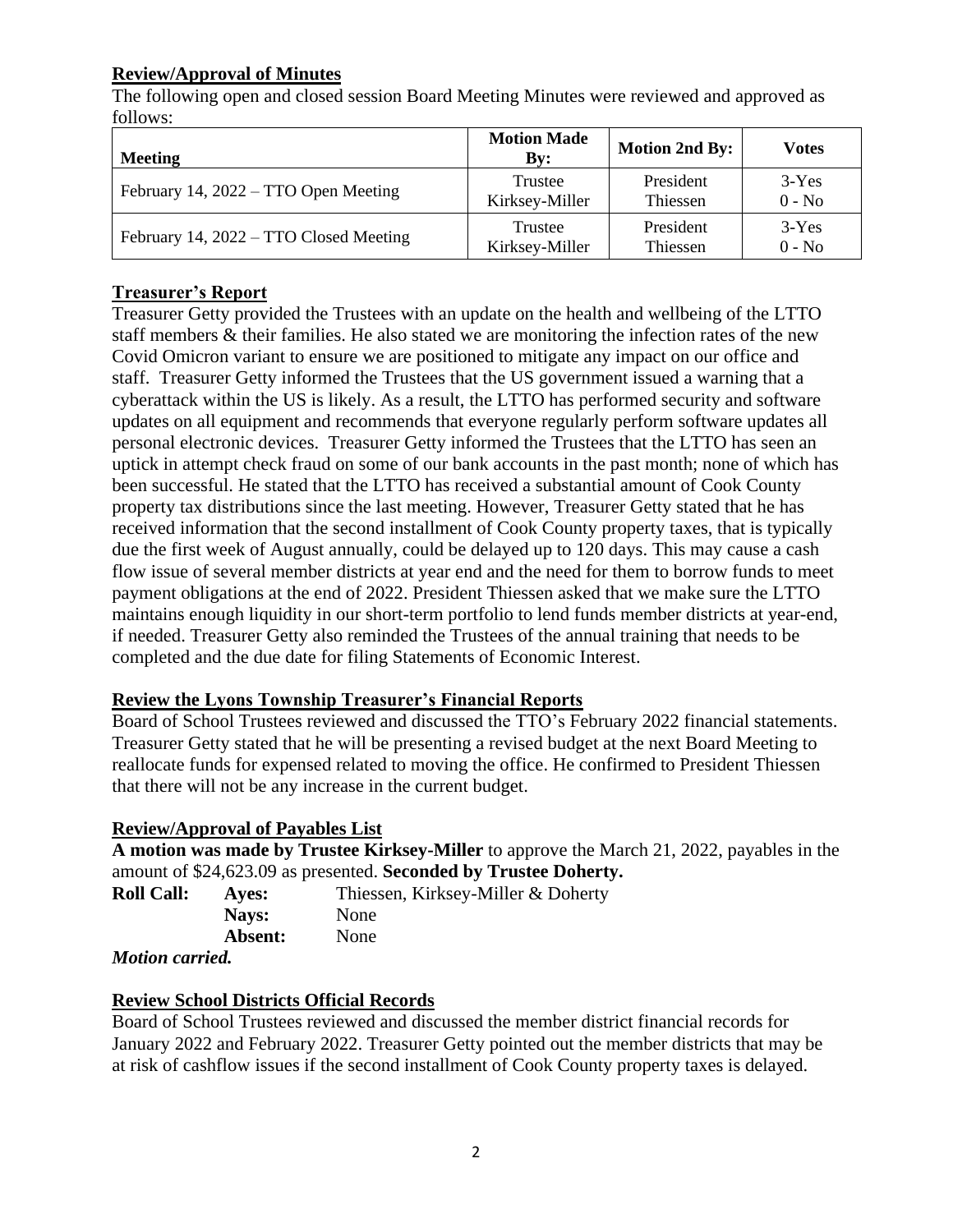## **Review/Approval of Minutes**

The following open and closed session Board Meeting Minutes were reviewed and approved as follows:

| <b>Meeting</b>                         | <b>Motion Made</b><br>$\mathbf{By:}$ | <b>Motion 2nd By:</b> | Votes    |
|----------------------------------------|--------------------------------------|-----------------------|----------|
| February 14, 2022 – TTO Open Meeting   | Trustee                              | President             | $3-Yes$  |
|                                        | Kirksey-Miller                       | Thiessen              | $0 - No$ |
| February 14, 2022 – TTO Closed Meeting | Trustee                              | President             | $3-Yes$  |
|                                        | Kirksey-Miller                       | Thiessen              | $0 - No$ |

## **Treasurer's Report**

Treasurer Getty provided the Trustees with an update on the health and wellbeing of the LTTO staff members & their families. He also stated we are monitoring the infection rates of the new Covid Omicron variant to ensure we are positioned to mitigate any impact on our office and staff. Treasurer Getty informed the Trustees that the US government issued a warning that a cyberattack within the US is likely. As a result, the LTTO has performed security and software updates on all equipment and recommends that everyone regularly perform software updates all personal electronic devices. Treasurer Getty informed the Trustees that the LTTO has seen an uptick in attempt check fraud on some of our bank accounts in the past month; none of which has been successful. He stated that the LTTO has received a substantial amount of Cook County property tax distributions since the last meeting. However, Treasurer Getty stated that he has received information that the second installment of Cook County property taxes, that is typically due the first week of August annually, could be delayed up to 120 days. This may cause a cash flow issue of several member districts at year end and the need for them to borrow funds to meet payment obligations at the end of 2022. President Thiessen asked that we make sure the LTTO maintains enough liquidity in our short-term portfolio to lend funds member districts at year-end, if needed. Treasurer Getty also reminded the Trustees of the annual training that needs to be completed and the due date for filing Statements of Economic Interest.

## **Review the Lyons Township Treasurer's Financial Reports**

Board of School Trustees reviewed and discussed the TTO's February 2022 financial statements. Treasurer Getty stated that he will be presenting a revised budget at the next Board Meeting to reallocate funds for expensed related to moving the office. He confirmed to President Thiessen that there will not be any increase in the current budget.

## **Review/Approval of Payables List**

**A motion was made by Trustee Kirksey-Miller** to approve the March 21, 2022, payables in the amount of \$24,623.09 as presented. **Seconded by Trustee Doherty.** 

**Roll Call: Ayes:** Thiessen, Kirksey-Miller & Doherty **Nays:** None **Absent:** None

*Motion carried.*

## **Review School Districts Official Records**

Board of School Trustees reviewed and discussed the member district financial records for January 2022 and February 2022. Treasurer Getty pointed out the member districts that may be at risk of cashflow issues if the second installment of Cook County property taxes is delayed.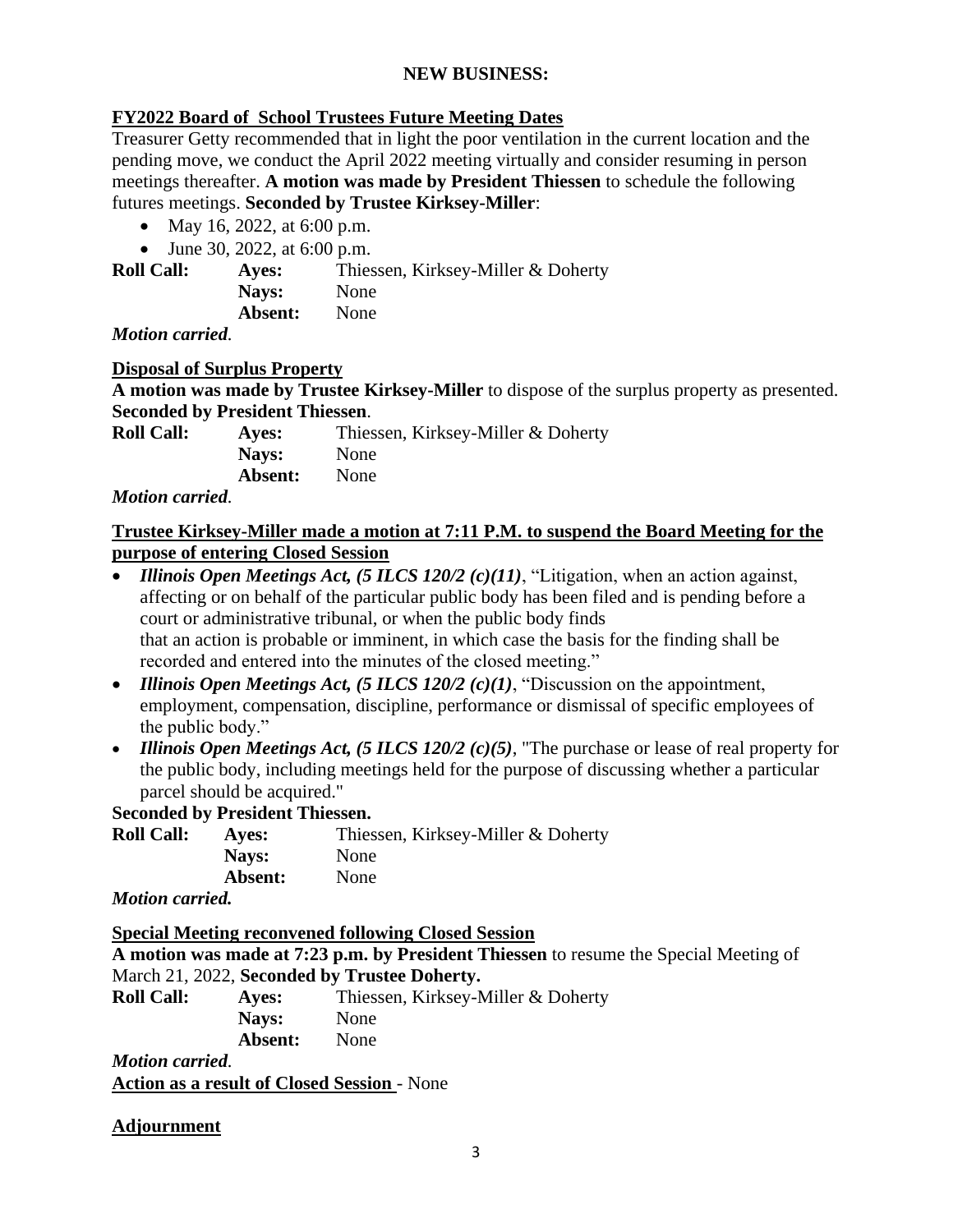#### **NEW BUSINESS:**

#### **FY2022 Board of School Trustees Future Meeting Dates**

Treasurer Getty recommended that in light the poor ventilation in the current location and the pending move, we conduct the April 2022 meeting virtually and consider resuming in person meetings thereafter. **A motion was made by President Thiessen** to schedule the following futures meetings. **Seconded by Trustee Kirksey-Miller**:

- May 16, 2022, at 6:00 p.m.
- June 30, 2022, at 6:00 p.m.

**Roll Call: Ayes:** Thiessen, Kirksey-Miller & Doherty Nays: None **Absent:** None

*Motion carried.*

#### **Disposal of Surplus Property**

**A motion was made by Trustee Kirksey-Miller** to dispose of the surplus property as presented. **Seconded by President Thiessen**.

| <b>Roll Call:</b> | Aves:   | Thiessen, Kirksey-Miller & Doherty |
|-------------------|---------|------------------------------------|
|                   | Nays:   | None                               |
|                   | Absent: | <b>None</b>                        |

*Motion carried.*

#### **Trustee Kirksey-Miller made a motion at 7:11 P.M. to suspend the Board Meeting for the purpose of entering Closed Session**

- *Illinois Open Meetings Act, (5 ILCS 120/2 (c)(11)*, "Litigation, when an action against, affecting or on behalf of the particular public body has been filed and is pending before a court or administrative tribunal, or when the public body finds that an action is probable or imminent, in which case the basis for the finding shall be recorded and entered into the minutes of the closed meeting."
- *Illinois Open Meetings Act, (5 ILCS 120/2 (c)(1)*, "Discussion on the appointment, employment, compensation, discipline, performance or dismissal of specific employees of the public body."
- *Illinois Open Meetings Act, (5 ILCS 120/2 (c)(5)*, "The purchase or lease of real property for the public body, including meetings held for the purpose of discussing whether a particular parcel should be acquired."

## **Seconded by President Thiessen.**

| <b>Roll Call:</b> | <b>Aves:</b> | Thiessen, Kirksey-Miller & Doherty |
|-------------------|--------------|------------------------------------|
|                   | Nays:        | None                               |
|                   | Absent:      | None                               |
|                   |              |                                    |

*Motion carried.*

**Special Meeting reconvened following Closed Session**

**A motion was made at 7:23 p.m. by President Thiessen** to resume the Special Meeting of March 21, 2022, **Seconded by Trustee Doherty.** 

| <b>Roll Call:</b> | Ayes:   | Thiessen, Kirksey-Miller & Doherty |
|-------------------|---------|------------------------------------|
|                   | Navs:   | None                               |
|                   | Absent: | <b>None</b>                        |
| $\cdots$          |         |                                    |

*Motion carried.* **Action as a result of Closed Session** - None

## **Adjournment**